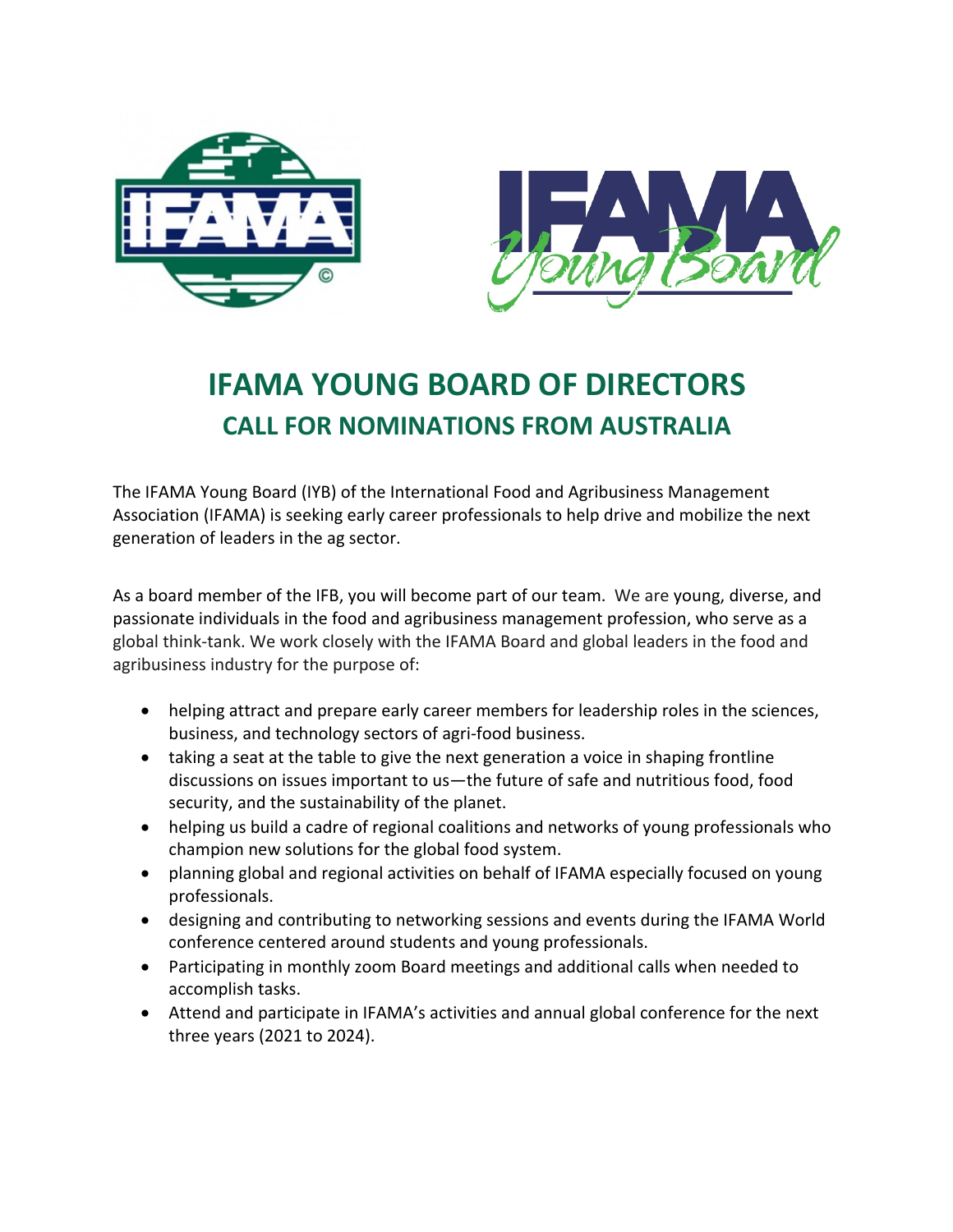



# **IFAMA YOUNG BOARD OF DIRECTORS CALL FOR NOMINATIONS FROM AUSTRALIA**

The IFAMA Young Board (IYB) of the International Food and Agribusiness Management Association (IFAMA) is seeking early career professionals to help drive and mobilize the next generation of leaders in the ag sector.

As a board member of the IFB, you will become part of our team. We are young, diverse, and passionate individuals in the food and agribusiness management profession, who serve as a global think-tank. We work closely with the IFAMA Board and global leaders in the food and agribusiness industry for the purpose of:

- helping attract and prepare early career members for leadership roles in the sciences, business, and technology sectors of agri-food business.
- taking a seat at the table to give the next generation a voice in shaping frontline discussions on issues important to us—the future of safe and nutritious food, food security, and the sustainability of the planet.
- helping us build a cadre of regional coalitions and networks of young professionals who champion new solutions for the global food system.
- planning global and regional activities on behalf of IFAMA especially focused on young professionals.
- designing and contributing to networking sessions and events during the IFAMA World conference centered around students and young professionals.
- Participating in monthly zoom Board meetings and additional calls when needed to accomplish tasks.
- Attend and participate in IFAMA's activities and annual global conference for the next three years (2021 to 2024).